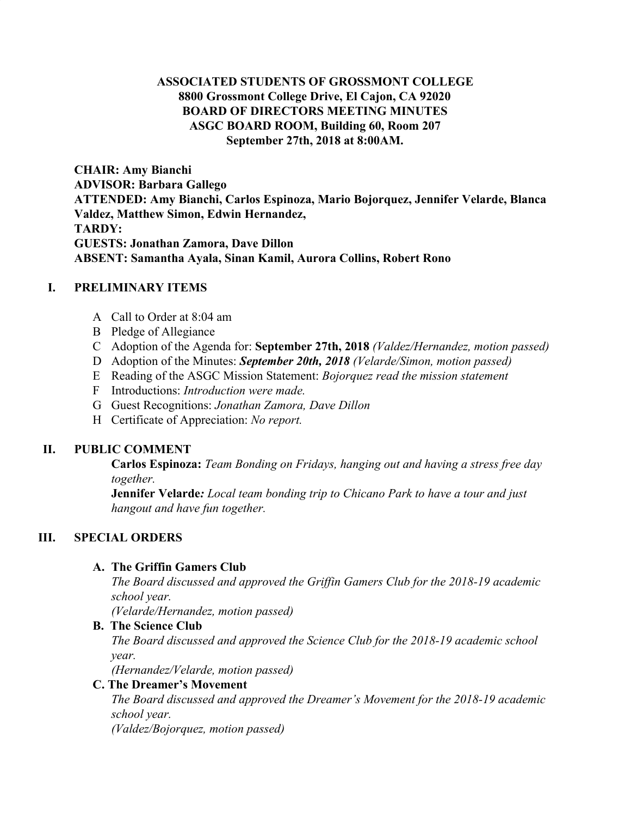# **ASSOCIATED STUDENTS OF GROSSMONT COLLEGE 8800 Grossmont College Drive, El Cajon, CA 92020 BOARD OF DIRECTORS MEETING MINUTES ASGC BOARD ROOM, Building 60, Room 207 September 27th, 2018 at 8:00AM.**

**CHAIR: Amy Bianchi ADVISOR: Barbara Gallego ATTENDED: Amy Bianchi, Carlos Espinoza, Mario Bojorquez, Jennifer Velarde, Blanca Valdez, Matthew Simon, Edwin Hernandez, TARDY: GUESTS: Jonathan Zamora, Dave Dillon ABSENT: Samantha Ayala, Sinan Kamil, Aurora Collins, Robert Rono**

## **I. PRELIMINARY ITEMS**

- A Call to Order at 8:04 am
- B Pledge of Allegiance
- C Adoption of the Agenda for: **September 27th, 2018** *(Valdez/Hernandez, motion passed)*
- D Adoption of the Minutes: *September 20th, 2018 (Velarde/Simon, motion passed)*
- E Reading of the ASGC Mission Statement: *Bojorquez read the mission statement*
- F Introductions: *Introduction were made.*
- G Guest Recognitions: *Jonathan Zamora, Dave Dillon*
- H Certificate of Appreciation: *No report.*

# **II. PUBLIC COMMENT**

**Carlos Espinoza:** *Team Bonding on Fridays, hanging out and having a stress free day together.*

**Jennifer Velarde***: Local team bonding trip to Chicano Park to have a tour and just hangout and have fun together.*

# **III. SPECIAL ORDERS**

# **A. The Griffin Gamers Club**

*The Board discussed and approved the Griffin Gamers Club for the 2018-19 academic school year.*

*(Velarde/Hernandez, motion passed)*

# **B. The Science Club**

*The Board discussed and approved the Science Club for the 2018-19 academic school year.*

*(Hernandez/Velarde, motion passed)*

# **C. The Dreamer's Movement**

*The Board discussed and approved the Dreamer's Movement for the 2018-19 academic school year.*

*(Valdez/Bojorquez, motion passed)*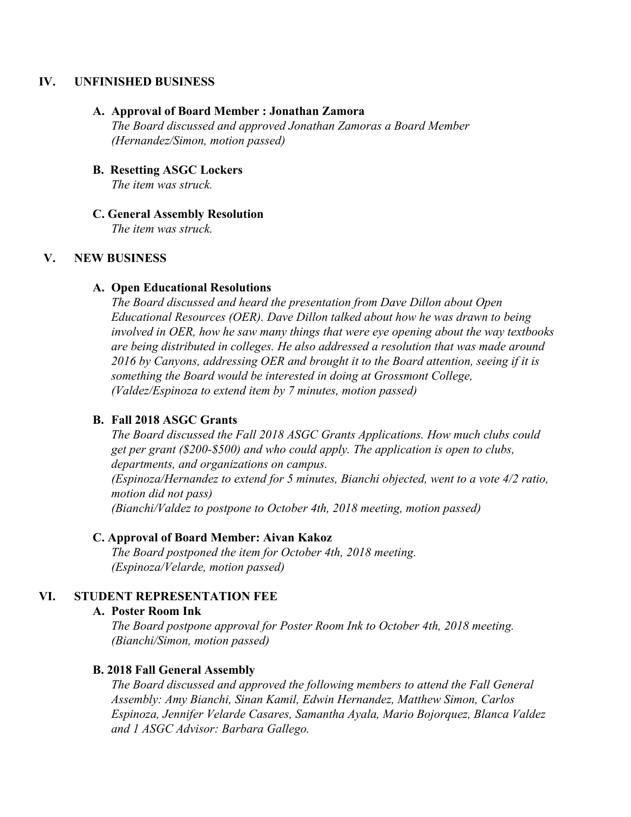### **IV. UNFINISHED BUSINESS**

#### **A. Approval of Board Member : Jonathan Zamora**

*The Board discussed and approved Jonathan Zamoras a Board Member (Hernandez/Simon, motion passed)*

**B. Resetting ASGC Lockers** *The item was struck.*

### **C. General Assembly Resolution**

*The item was struck.*

## **V. NEW BUSINESS**

#### **A. Open Educational Resolutions**

*The Board discussed and heard the presentation from Dave Dillon about Open Educational Resources (OER). Dave Dillon talked about how he was drawn to being involved in OER, how he saw many things that were eye opening about the way textbooks are being distributed in colleges. He also addressed a resolution that was made around 2016 by Canyons, addressing OER and brought it to the Board attention, seeing if it is something the Board would be interested in doing at Grossmont College, (Valdez/Espinoza to extend item by 7 minutes, motion passed)*

### **B. Fall 2018 ASGC Grants**

*The Board discussed the Fall 2018 ASGC Grants Applications. How much clubs could get per grant (\$200-\$500) and who could apply. The application is open to clubs, departments, and organizations on campus. (Espinoza/Hernandez to extend for 5 minutes, Bianchi objected, went to a vote 4/2 ratio, motion did not pass) (Bianchi/Valdez to postpone to October 4th, 2018 meeting, motion passed)*

### **C. Approval of Board Member: Aivan Kakoz**

*The Board postponed the item for October 4th, 2018 meeting. (Espinoza/Velarde, motion passed)*

### **VI. STUDENT REPRESENTATION FEE**

### **A. Poster Room Ink**

*The Board postpone approval for Poster Room Ink to October 4th, 2018 meeting. (Bianchi/Simon, motion passed)*

### **B. 2018 Fall General Assembly**

*The Board discussed and approved the following members to attend the Fall General Assembly: Amy Bianchi, Sinan Kamil, Edwin Hernandez, Matthew Simon, Carlos Espinoza, Jennifer Velarde Casares, Samantha Ayala, Mario Bojorquez, Blanca Valdez and 1 ASGC Advisor: Barbara Gallego.*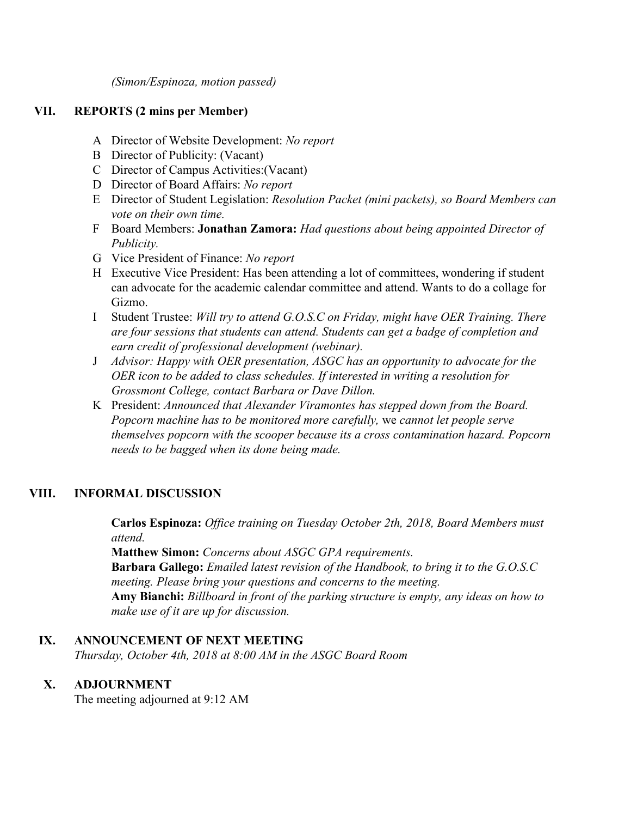*(Simon/Espinoza, motion passed)*

## **VII. REPORTS (2 mins per Member)**

- A Director of Website Development: *No report*
- B Director of Publicity: (Vacant)
- C Director of Campus Activities:(Vacant)
- D Director of Board Affairs: *No report*
- E Director of Student Legislation: *Resolution Packet (mini packets), so Board Members can vote on their own time.*
- F Board Members: **Jonathan Zamora:** *Had questions about being appointed Director of Publicity.*
- G Vice President of Finance: *No report*
- H Executive Vice President: Has been attending a lot of committees, wondering if student can advocate for the academic calendar committee and attend. Wants to do a collage for Gizmo.
- I Student Trustee: *Will try to attend G.O.S.C on Friday, might have OER Training. There are four sessions that students can attend. Students can get a badge of completion and earn credit of professional development (webinar).*
- J *Advisor: Happy with OER presentation, ASGC has an opportunity to advocate for the OER icon to be added to class schedules. If interested in writing a resolution for Grossmont College, contact Barbara or Dave Dillon.*
- K President: *Announced that Alexander Viramontes has stepped down from the Board. Popcorn machine has to be monitored more carefully,* we *cannot let people serve themselves popcorn with the scooper because its a cross contamination hazard. Popcorn needs to be bagged when its done being made.*

# **VIII. INFORMAL DISCUSSION**

**Carlos Espinoza:** *Office training on Tuesday October 2th, 2018, Board Members must attend.*

**Matthew Simon:** *Concerns about ASGC GPA requirements.* **Barbara Gallego:** *Emailed latest revision of the Handbook, to bring it to the G.O.S.C meeting. Please bring your questions and concerns to the meeting.* **Amy Bianchi:** *Billboard in front of the parking structure is empty, any ideas on how to make use of it are up for discussion.*

### **IX. ANNOUNCEMENT OF NEXT MEETING**

*Thursday, October 4th, 2018 at 8:00 AM in the ASGC Board Room*

# **X. ADJOURNMENT**

The meeting adjourned at 9:12 AM